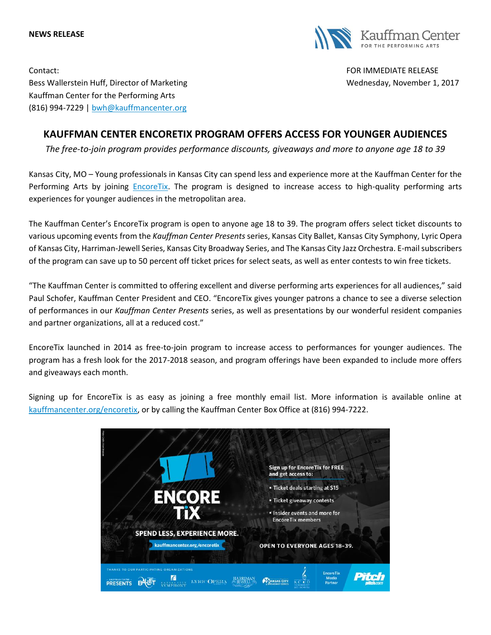## **NEWS RELEASE**



Contact: FOR IMMEDIATE RELEASE Bess Wallerstein Huff, Director of Marketing Well and Wednesday, November 1, 2017 Kauffman Center for the Performing Arts (816) 994-7229 | [bwh@kauffmancenter.org](mailto:bwh@kauffmancenter.org)

## **KAUFFMAN CENTER ENCORETIX PROGRAM OFFERS ACCESS FOR YOUNGER AUDIENCES**

*The free-to-join program provides performance discounts, giveaways and more to anyone age 18 to 39*

Kansas City, MO – Young professionals in Kansas City can spend less and experience more at the Kauffman Center for the Performing Arts by joining *EncoreTix*. The program is designed to increase access to high-quality performing arts experiences for younger audiences in the metropolitan area.

The Kauffman Center's EncoreTix program is open to anyone age 18 to 39. The program offers select ticket discounts to various upcoming events from the *Kauffman Center Presents* series, Kansas City Ballet, Kansas City Symphony, Lyric Opera of Kansas City, Harriman-Jewell Series, Kansas City Broadway Series, and The Kansas City Jazz Orchestra. E-mail subscribers of the program can save up to 50 percent off ticket prices for select seats, as well as enter contests to win free tickets.

"The Kauffman Center is committed to offering excellent and diverse performing arts experiences for all audiences," said Paul Schofer, Kauffman Center President and CEO. "EncoreTix gives younger patrons a chance to see a diverse selection of performances in our *Kauffman Center Presents* series, as well as presentations by our wonderful resident companies and partner organizations, all at a reduced cost."

EncoreTix launched in 2014 as free-to-join program to increase access to performances for younger audiences. The program has a fresh look for the 2017-2018 season, and program offerings have been expanded to include more offers and giveaways each month.

Signing up for EncoreTix is as easy as joining a free monthly email list. More information is available online at [kauffmancenter.org/encoretix,](https://www.kauffmancenter.org/events-tickets/encoretix/) or by calling the Kauffman Center Box Office at (816) 994-7222.